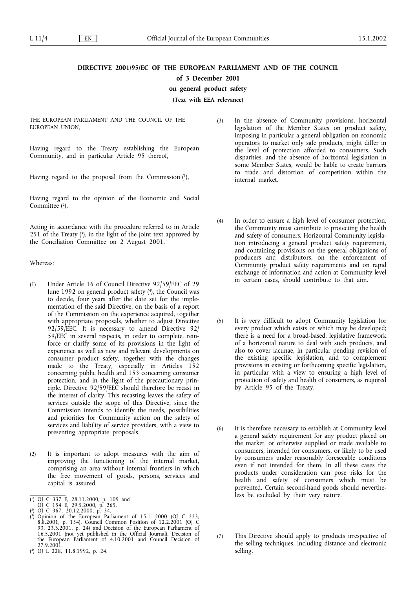# **DIRECTIVE 2001/95/EC OF THE EUROPEAN PARLIAMENT AND OF THE COUNCIL of 3 December 2001**

**on general product safety**

**(Text with EEA relevance)**

THE EUROPEAN PARLIAMENT AND THE COUNCIL OF THE EUROPEAN UNION,

Having regard to the Treaty establishing the European Community, and in particular Article 95 thereof,

Having regard to the proposal from the Commission (1),

Having regard to the opinion of the Economic and Social Committee  $(2)$ ,

Acting in accordance with the procedure referred to in Article 251 of the Treaty  $(3)$ , in the light of the joint text approved by the Conciliation Committee on 2 August 2001,

Whereas:

- (1) Under Article 16 of Council Directive 92/59/EEC of 29 June 1992 on general product safety (4), the Council was to decide, four years after the date set for the implementation of the said Directive, on the basis of a report of the Commission on the experience acquired, together with appropriate proposals, whether to adjust Directive 92/59/EEC. It is necessary to amend Directive 92/ 59/EEC in several respects, in order to complete, reinforce or clarify some of its provisions in the light of experience as well as new and relevant developments on consumer product safety, together with the changes made to the Treaty, especially in Articles 152 concerning public health and 153 concerning consumer protection, and in the light of the precautionary principle. Directive 92/59/EEC should therefore be recast in the interest of clarity. This recasting leaves the safety of services outside the scope of this Directive, since the Commission intends to identify the needs, possibilities and priorities for Community action on the safety of services and liability of service providers, with a view to presenting appropriate proposals.
- (2) It is important to adopt measures with the aim of improving the functioning of the internal market, comprising an area without internal frontiers in which the free movement of goods, persons, services and capital is assured.

- ( 3) Opinion of the European Parliament of 15.11.2000 (OJ C 223, 8.8.2001, p. 154), Council Common Position of 12.2.2001 (OJ C 93, 23.3.2001, p. 24) and Decision of the European Parliament of 16.5.2001 (not yet published in the Official Journal). Decision of the European Parliament of 4.10.2001 and Council Decision of 27.9.2001.
- ( 4) OJ L 228, 11.8.1992, p. 24.
- (3) In the absence of Community provisions, horizontal legislation of the Member States on product safety, imposing in particular a general obligation on economic operators to market only safe products, might differ in the level of protection afforded to consumers. Such disparities, and the absence of horizontal legislation in some Member States, would be liable to create barriers to trade and distortion of competition within the internal market.
- (4) In order to ensure a high level of consumer protection, the Community must contribute to protecting the health and safety of consumers. Horizontal Community legislation introducing a general product safety requirement, and containing provisions on the general obligations of producers and distributors, on the enforcement of Community product safety requirements and on rapid exchange of information and action at Community level in certain cases, should contribute to that aim.
- (5) It is very difficult to adopt Community legislation for every product which exists or which may be developed; there is a need for a broad-based, legislative framework of a horizontal nature to deal with such products, and also to cover lacunae, in particular pending revision of the existing specific legislation, and to complement provisions in existing or forthcoming specific legislation, in particular with a view to ensuring a high level of protection of safety and health of consumers, as required by Article 95 of the Treaty.
- (6) It is therefore necessary to establish at Community level a general safety requirement for any product placed on the market, or otherwise supplied or made available to consumers, intended for consumers, or likely to be used by consumers under reasonably foreseeable conditions even if not intended for them. In all these cases the products under consideration can pose risks for the health and safety of consumers which must be prevented. Certain second-hand goods should nevertheless be excluded by their very nature.
- (7) This Directive should apply to products irrespective of the selling techniques, including distance and electronic selling.

<sup>(</sup> 1) OJ C 337 E, 28.11.2000, p. 109 and

OJ C 154 E, 29.5.2000, p. 265.

<sup>(</sup> 2) OJ C 367, 20.12.2000, p. 34.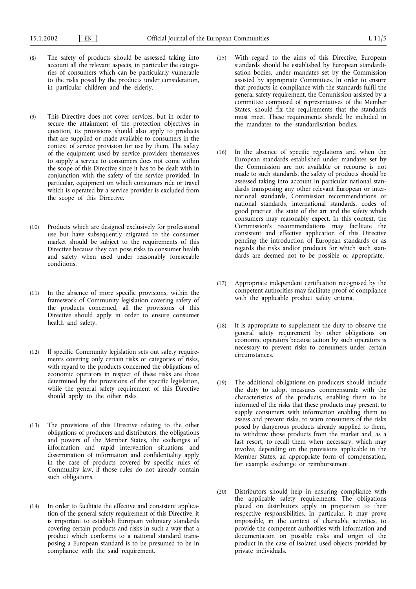- (8) The safety of products should be assessed taking into account all the relevant aspects, in particular the categories of consumers which can be particularly vulnerable to the risks posed by the products under consideration, in particular children and the elderly.
- (9) This Directive does not cover services, but in order to secure the attainment of the protection objectives in question, its provisions should also apply to products that are supplied or made available to consumers in the context of service provision for use by them. The safety of the equipment used by service providers themselves to supply a service to consumers does not come within the scope of this Directive since it has to be dealt with in conjunction with the safety of the service provided. In particular, equipment on which consumers ride or travel which is operated by a service provider is excluded from the scope of this Directive.
- (10) Products which are designed exclusively for professional use but have subsequently migrated to the consumer market should be subject to the requirements of this Directive because they can pose risks to consumer health and safety when used under reasonably foreseeable conditions.
- (11) In the absence of more specific provisions, within the framework of Community legislation covering safety of the products concerned, all the provisions of this Directive should apply in order to ensure consumer health and safety.
- (12) If specific Community legislation sets out safety requirements covering only certain risks or categories of risks, with regard to the products concerned the obligations of economic operators in respect of these risks are those determined by the provisions of the specific legislation, while the general safety requirement of this Directive should apply to the other risks.
- (13) The provisions of this Directive relating to the other obligations of producers and distributors, the obligations and powers of the Member States, the exchanges of information and rapid intervention situations and dissemination of information and confidentiality apply in the case of products covered by specific rules of Community law, if those rules do not already contain such obligations.
- (14) In order to facilitate the effective and consistent application of the general safety requirement of this Directive, it is important to establish European voluntary standards covering certain products and risks in such a way that a product which conforms to a national standard transposing a European standard is to be presumed to be in compliance with the said requirement.
- (15) With regard to the aims of this Directive, European standards should be established by European standardisation bodies, under mandates set by the Commission assisted by appropriate Committees. In order to ensure that products in compliance with the standards fulfil the general safety requirement, the Commission assisted by a committee composed of representatives of the Member States, should fix the requirements that the standards must meet. These requirements should be included in the mandates to the standardisation bodies.
- (16) In the absence of specific regulations and when the European standards established under mandates set by the Commission are not available or recourse is not made to such standards, the safety of products should be assessed taking into account in particular national standards transposing any other relevant European or international standards, Commission recommendations or national standards, international standards, codes of good practice, the state of the art and the safety which consumers may reasonably expect. In this context, the Commission's recommendations may facilitate the consistent and effective application of this Directive pending the introduction of European standards or as regards the risks and/or products for which such standards are deemed not to be possible or appropriate.
- (17) Appropriate independent certification recognised by the competent authorities may facilitate proof of compliance with the applicable product safety criteria.
- (18) It is appropriate to supplement the duty to observe the general safety requirement by other obligations on economic operators because action by such operators is necessary to prevent risks to consumers under certain circumstances.
- (19) The additional obligations on producers should include the duty to adopt measures commensurate with the characteristics of the products, enabling them to be informed of the risks that these products may present, to supply consumers with information enabling them to assess and prevent risks, to warn consumers of the risks posed by dangerous products already supplied to them, to withdraw those products from the market and, as a last resort, to recall them when necessary, which may involve, depending on the provisions applicable in the Member States, an appropriate form of compensation, for example exchange or reimbursement.
- (20) Distributors should help in ensuring compliance with the applicable safety requirements. The obligations placed on distributors apply in proportion to their respective responsibilities. In particular, it may prove impossible, in the context of charitable activities, to provide the competent authorities with information and documentation on possible risks and origin of the product in the case of isolated used objects provided by private individuals.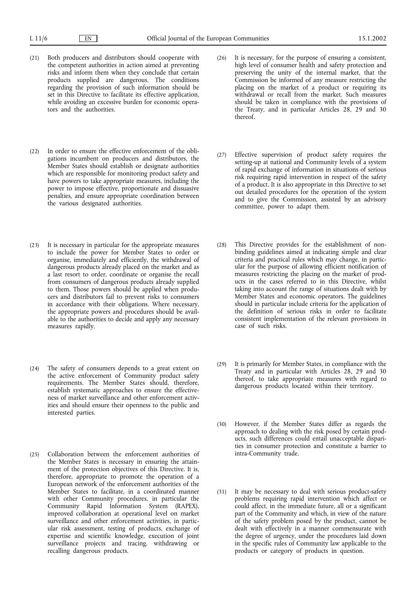- (21) Both producers and distributors should cooperate with the competent authorities in action aimed at preventing risks and inform them when they conclude that certain products supplied are dangerous. The conditions regarding the provision of such information should be set in this Directive to facilitate its effective application, while avoiding an excessive burden for economic operators and the authorities.
- (22) In order to ensure the effective enforcement of the obligations incumbent on producers and distributors, the Member States should establish or designate authorities which are responsible for monitoring product safety and have powers to take appropriate measures, including the power to impose effective, proportionate and dissuasive penalties, and ensure appropriate coordination between the various designated authorities.
- (23) It is necessary in particular for the appropriate measures to include the power for Member States to order or organise, immediately and efficiently, the withdrawal of dangerous products already placed on the market and as a last resort to order, coordinate or organise the recall from consumers of dangerous products already supplied to them. Those powers should be applied when producers and distributors fail to prevent risks to consumers in accordance with their obligations. Where necessary, the appropriate powers and procedures should be available to the authorities to decide and apply any necessary measures rapidly.
- (24) The safety of consumers depends to a great extent on the active enforcement of Community product safety requirements. The Member States should, therefore, establish systematic approaches to ensure the effectiveness of market surveillance and other enforcement activities and should ensure their openness to the public and interested parties.
- (25) Collaboration between the enforcement authorities of the Member States is necessary in ensuring the attainment of the protection objectives of this Directive. It is, therefore, appropriate to promote the operation of a European network of the enforcement authorities of the Member States to facilitate, in a coordinated manner with other Community procedures, in particular the Community Rapid Information System (RAPEX), improved collaboration at operational level on market surveillance and other enforcement activities, in particular risk assessment, testing of products, exchange of expertise and scientific knowledge, execution of joint surveillance projects and tracing, withdrawing or recalling dangerous products.
- (26) It is necessary, for the purpose of ensuring a consistent, high level of consumer health and safety protection and preserving the unity of the internal market, that the Commission be informed of any measure restricting the placing on the market of a product or requiring its withdrawal or recall from the market. Such measures should be taken in compliance with the provisions of the Treaty, and in particular Articles 28, 29 and 30 thereof.
- (27) Effective supervision of product safety requires the setting-up at national and Community levels of a system of rapid exchange of information in situations of serious risk requiring rapid intervention in respect of the safety of a product. It is also appropriate in this Directive to set out detailed procedures for the operation of the system and to give the Commission, assisted by an advisory committee, power to adapt them.
- (28) This Directive provides for the establishment of nonbinding guidelines aimed at indicating simple and clear criteria and practical rules which may change, in particular for the purpose of allowing efficient notification of measures restricting the placing on the market of products in the cases referred to in this Directive, whilst taking into account the range of situations dealt with by Member States and economic operators. The guidelines should in particular include criteria for the application of the definition of serious risks in order to facilitate consistent implementation of the relevant provisions in case of such risks.
- (29) It is primarily for Member States, in compliance with the Treaty and in particular with Articles 28, 29 and 30 thereof, to take appropriate measures with regard to dangerous products located within their territory.
- (30) However, if the Member States differ as regards the approach to dealing with the risk posed by certain products, such differences could entail unacceptable disparities in consumer protection and constitute a barrier to intra-Community trade.
- (31) It may be necessary to deal with serious product-safety problems requiring rapid intervention which affect or could affect, in the immediate future, all or a significant part of the Community and which, in view of the nature of the safety problem posed by the product, cannot be dealt with effectively in a manner commensurate with the degree of urgency, under the procedures laid down in the specific rules of Community law applicable to the products or category of products in question.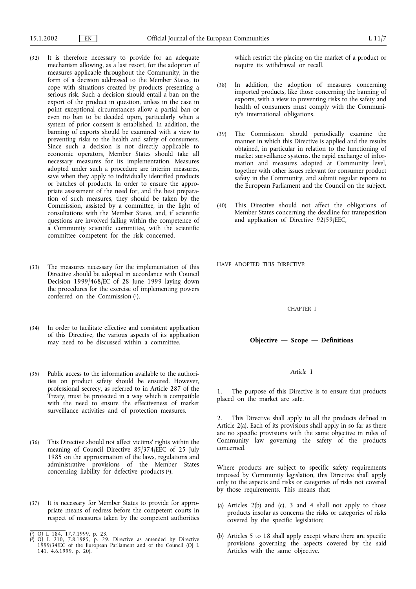- (32) It is therefore necessary to provide for an adequate mechanism allowing, as a last resort, for the adoption of measures applicable throughout the Community, in the form of a decision addressed to the Member States, to cope with situations created by products presenting a serious risk. Such a decision should entail a ban on the export of the product in question, unless in the case in point exceptional circumstances allow a partial ban or even no ban to be decided upon, particularly when a system of prior consent is established. In addition, the banning of exports should be examined with a view to preventing risks to the health and safety of consumers. Since such a decision is not directly applicable to economic operators, Member States should take all necessary measures for its implementation. Measures adopted under such a procedure are interim measures, save when they apply to individually identified products or batches of products. In order to ensure the appropriate assessment of the need for, and the best preparation of such measures, they should be taken by the Commission, assisted by a committee, in the light of consultations with the Member States, and, if scientific questions are involved falling within the competence of a Community scientific committee, with the scientific committee competent for the risk concerned.
- (33) The measures necessary for the implementation of this Directive should be adopted in accordance with Council Decision 1999/468/EC of 28 June 1999 laying down the procedures for the exercise of implementing powers conferred on the Commission (1).
- (34) In order to facilitate effective and consistent application of this Directive, the various aspects of its application may need to be discussed within a committee.
- (35) Public access to the information available to the authorities on product safety should be ensured. However, professional secrecy, as referred to in Article 287 of the Treaty, must be protected in a way which is compatible with the need to ensure the effectiveness of market surveillance activities and of protection measures.
- (36) This Directive should not affect victims' rights within the meaning of Council Directive 85/374/EEC of 25 July 1985 on the approximation of the laws, regulations and administrative provisions of the Member States concerning liability for defective products (2).
- (37) It is necessary for Member States to provide for appropriate means of redress before the competent courts in respect of measures taken by the competent authorities

which restrict the placing on the market of a product or require its withdrawal or recall.

- (38) In addition, the adoption of measures concerning imported products, like those concerning the banning of exports, with a view to preventing risks to the safety and health of consumers must comply with the Community's international obligations.
- (39) The Commission should periodically examine the manner in which this Directive is applied and the results obtained, in particular in relation to the functioning of market surveillance systems, the rapid exchange of information and measures adopted at Community level, together with other issues relevant for consumer product safety in the Community, and submit regular reports to the European Parliament and the Council on the subject.
- (40) This Directive should not affect the obligations of Member States concerning the deadline for transposition and application of Directive 92/59/EEC,

HAVE ADOPTED THIS DIRECTIVE:

CHAPTER I

**Objective — Scope — Definitions**

## *Article 1*

1. The purpose of this Directive is to ensure that products placed on the market are safe.

2. This Directive shall apply to all the products defined in Article 2(a). Each of its provisions shall apply in so far as there are no specific provisions with the same objective in rules of Community law governing the safety of the products concerned.

Where products are subject to specific safety requirements imposed by Community legislation, this Directive shall apply only to the aspects and risks or categories of risks not covered by those requirements. This means that:

- (a) Articles 2(b) and (c), 3 and 4 shall not apply to those products insofar as concerns the risks or categories of risks covered by the specific legislation;
- (b) Articles 5 to 18 shall apply except where there are specific provisions governing the aspects covered by the said Articles with the same objective.

<sup>(</sup> 1) OJ L 184, 17.7.1999, p. 23.

<sup>(</sup> 2) OJ L 210, 7.8.1985, p. 29. Directive as amended by Directive 1999/34/EC of the European Parliament and of the Council (OJ L 141, 4.6.1999, p. 20).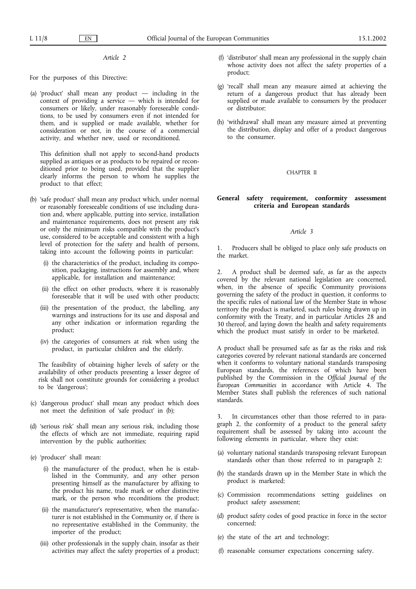*Article 2*

For the purposes of this Directive:

(a) 'product' shall mean any product — including in the context of providing a service — which is intended for consumers or likely, under reasonably foreseeable conditions, to be used by consumers even if not intended for them, and is supplied or made available, whether for consideration or not, in the course of a commercial activity, and whether new, used or reconditioned.

This definition shall not apply to second-hand products supplied as antiques or as products to be repaired or reconditioned prior to being used, provided that the supplier clearly informs the person to whom he supplies the product to that effect;

- (b) 'safe product' shall mean any product which, under normal or reasonably foreseeable conditions of use including duration and, where applicable, putting into service, installation and maintenance requirements, does not present any risk or only the minimum risks compatible with the product's use, considered to be acceptable and consistent with a high level of protection for the safety and health of persons, taking into account the following points in particular:
	- (i) the characteristics of the product, including its composition, packaging, instructions for assembly and, where applicable, for installation and maintenance;
	- (ii) the effect on other products, where it is reasonably foreseeable that it will be used with other products;
	- (iii) the presentation of the product, the labelling, any warnings and instructions for its use and disposal and any other indication or information regarding the product;
	- (iv) the categories of consumers at risk when using the product, in particular children and the elderly.

The feasibility of obtaining higher levels of safety or the availability of other products presenting a lesser degree of risk shall not constitute grounds for considering a product to be 'dangerous';

- (c) 'dangerous product' shall mean any product which does not meet the definition of 'safe product' in (b);
- (d) 'serious risk' shall mean any serious risk, including those the effects of which are not immediate, requiring rapid intervention by the public authorities;
- (e) 'producer' shall mean:
	- (i) the manufacturer of the product, when he is established in the Community, and any other person presenting himself as the manufacturer by affixing to the product his name, trade mark or other distinctive mark, or the person who reconditions the product;
	- (ii) the manufacturer's representative, when the manufacturer is not established in the Community or, if there is no representative established in the Community, the importer of the product;
	- (iii) other professionals in the supply chain, insofar as their activities may affect the safety properties of a product;
- (f) 'distributor' shall mean any professional in the supply chain whose activity does not affect the safety properties of a product;
- (g) 'recall' shall mean any measure aimed at achieving the return of a dangerous product that has already been supplied or made available to consumers by the producer or distributor;
- (h) 'withdrawal' shall mean any measure aimed at preventing the distribution, display and offer of a product dangerous to the consumer.

### CHAPTER II

## **General safety requirement, conformity assessment criteria and European standards**

#### *Article 3*

1. Producers shall be obliged to place only safe products on the market.

2. A product shall be deemed safe, as far as the aspects covered by the relevant national legislation are concerned, when, in the absence of specific Community provisions governing the safety of the product in question, it conforms to the specific rules of national law of the Member State in whose territory the product is marketed, such rules being drawn up in conformity with the Treaty, and in particular Articles 28 and 30 thereof, and laying down the health and safety requirements which the product must satisfy in order to be marketed.

A product shall be presumed safe as far as the risks and risk categories covered by relevant national standards are concerned when it conforms to voluntary national standards transposing European standards, the references of which have been published by the Commission in the *Official Journal of the European Communities* in accordance with Article 4. The Member States shall publish the references of such national standards.

3. In circumstances other than those referred to in paragraph 2, the conformity of a product to the general safety requirement shall be assessed by taking into account the following elements in particular, where they exist:

- (a) voluntary national standards transposing relevant European standards other than those referred to in paragraph 2;
- (b) the standards drawn up in the Member State in which the product is marketed;
- (c) Commission recommendations setting guidelines on product safety assessment;
- (d) product safety codes of good practice in force in the sector concerned;
- (e) the state of the art and technology;
- (f) reasonable consumer expectations concerning safety.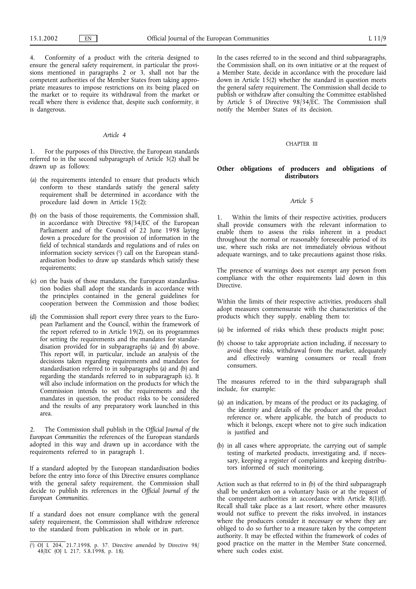4. Conformity of a product with the criteria designed to ensure the general safety requirement, in particular the provisions mentioned in paragraphs 2 or 3, shall not bar the competent authorities of the Member States from taking appropriate measures to impose restrictions on its being placed on the market or to require its withdrawal from the market or recall where there is evidence that, despite such conformity, it is dangerous.

## *Article 4*

1. For the purposes of this Directive, the European standards referred to in the second subparagraph of Article 3(2) shall be drawn up as follows:

- (a) the requirements intended to ensure that products which conform to these standards satisfy the general safety requirement shall be determined in accordance with the procedure laid down in Article 15(2);
- (b) on the basis of those requirements, the Commission shall, in accordance with Directive 98/34/EC of the European Parliament and of the Council of  $22$  June 1998 laying down a procedure for the provision of information in the field of technical standards and regulations and of rules on information society services (1) call on the European standardisation bodies to draw up standards which satisfy these requirements;
- (c) on the basis of those mandates, the European standardisation bodies shall adopt the standards in accordance with the principles contained in the general guidelines for cooperation between the Commission and those bodies;
- (d) the Commission shall report every three years to the European Parliament and the Council, within the framework of the report referred to in Article 19(2), on its programmes for setting the requirements and the mandates for standardisation provided for in subparagraphs (a) and (b) above. This report will, in particular, include an analysis of the decisions taken regarding requirements and mandates for standardisation referred to in subparagraphs (a) and (b) and regarding the standards referred to in subparagraph (c). It will also include information on the products for which the Commission intends to set the requirements and the mandates in question, the product risks to be considered and the results of any preparatory work launched in this area.

2. The Commission shall publish in the *Official Journal of the European Communities* the references of the European standards adopted in this way and drawn up in accordance with the requirements referred to in paragraph 1.

If a standard adopted by the European standardisation bodies before the entry into force of this Directive ensures compliance with the general safety requirement, the Commission shall decide to publish its references in the *Official Journal of the European Communities*.

If a standard does not ensure compliance with the general safety requirement, the Commission shall withdraw reference to the standard from publication in whole or in part.

In the cases referred to in the second and third subparagraphs, the Commission shall, on its own initiative or at the request of a Member State, decide in accordance with the procedure laid down in Article 15(2) whether the standard in question meets the general safety requirement. The Commission shall decide to publish or withdraw after consulting the Committee established by Article 5 of Directive 98/34/EC. The Commission shall notify the Member States of its decision.

## **CHAPTER III**

## **Other obligations of producers and obligations of distributors**

#### *Article 5*

1. Within the limits of their respective activities, producers shall provide consumers with the relevant information to enable them to assess the risks inherent in a product throughout the normal or reasonably foreseeable period of its use, where such risks are not immediately obvious without adequate warnings, and to take precautions against those risks.

The presence of warnings does not exempt any person from compliance with the other requirements laid down in this Directive.

Within the limits of their respective activities, producers shall adopt measures commensurate with the characteristics of the products which they supply, enabling them to:

- (a) be informed of risks which these products might pose;
- (b) choose to take appropriate action including, if necessary to avoid these risks, withdrawal from the market, adequately and effectively warning consumers or recall from consumers.

The measures referred to in the third subparagraph shall include, for example:

- (a) an indication, by means of the product or its packaging, of the identity and details of the producer and the product reference or, where applicable, the batch of products to which it belongs, except where not to give such indication is justified and
- (b) in all cases where appropriate, the carrying out of sample testing of marketed products, investigating and, if necessary, keeping a register of complaints and keeping distributors informed of such monitoring.

Action such as that referred to in (b) of the third subparagraph shall be undertaken on a voluntary basis or at the request of the competent authorities in accordance with Article 8(1)(f). Recall shall take place as a last resort, where other measures would not suffice to prevent the risks involved, in instances where the producers consider it necessary or where they are obliged to do so further to a measure taken by the competent authority. It may be effected within the framework of codes of good practice on the matter in the Member State concerned,

<sup>(</sup>a) OJ L 204, 21.7.1998, p. 37. Directive amended by Directive 98/  $\frac{\text{good practice on the in 48/EC (O) L 217, 5.8.1998, p. 18)}}{\text{where such codes exist.}}$ 48/EC (OJ L 217, 5.8.1998, p. 18).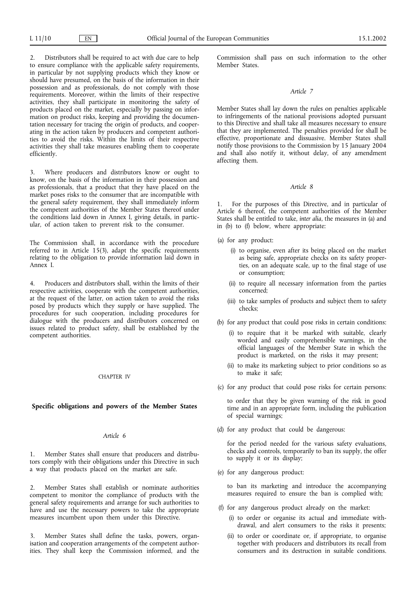2. Distributors shall be required to act with due care to help to ensure compliance with the applicable safety requirements, in particular by not supplying products which they know or should have presumed, on the basis of the information in their possession and as professionals, do not comply with those requirements. Moreover, within the limits of their respective activities, they shall participate in monitoring the safety of products placed on the market, especially by passing on information on product risks, keeping and providing the documentation necessary for tracing the origin of products, and cooperating in the action taken by producers and competent authorities to avoid the risks. Within the limits of their respective activities they shall take measures enabling them to cooperate efficiently.

3. Where producers and distributors know or ought to know, on the basis of the information in their possession and as professionals, that a product that they have placed on the market poses risks to the consumer that are incompatible with the general safety requirement, they shall immediately inform the competent authorities of the Member States thereof under the conditions laid down in Annex I, giving details, in particular, of action taken to prevent risk to the consumer.

The Commission shall, in accordance with the procedure referred to in Article 15(3), adapt the specific requirements relating to the obligation to provide information laid down in Annex I.

4. Producers and distributors shall, within the limits of their respective activities, cooperate with the competent authorities, at the request of the latter, on action taken to avoid the risks posed by products which they supply or have supplied. The procedures for such cooperation, including procedures for dialogue with the producers and distributors concerned on issues related to product safety, shall be established by the competent authorities.

#### **CHAPTER IV**

## **Specific obligations and powers of the Member States**

## *Article 6*

Member States shall ensure that producers and distributors comply with their obligations under this Directive in such a way that products placed on the market are safe.

2. Member States shall establish or nominate authorities competent to monitor the compliance of products with the general safety requirements and arrange for such authorities to have and use the necessary powers to take the appropriate measures incumbent upon them under this Directive.

3. Member States shall define the tasks, powers, organisation and cooperation arrangements of the competent authorities. They shall keep the Commission informed, and the Commission shall pass on such information to the other Member States.

#### *Article 7*

Member States shall lay down the rules on penalties applicable to infringements of the national provisions adopted pursuant to this Directive and shall take all measures necessary to ensure that they are implemented. The penalties provided for shall be effective, proportionate and dissuasive. Member States shall notify those provisions to the Commission by 15 January 2004 and shall also notify it, without delay, of any amendment affecting them.

## *Article 8*

1. For the purposes of this Directive, and in particular of Article 6 thereof, the competent authorities of the Member States shall be entitled to take, *inter alia*, the measures in (a) and in (b) to (f) below, where appropriate:

- (a) for any product:
	- (i) to organise, even after its being placed on the market as being safe, appropriate checks on its safety properties, on an adequate scale, up to the final stage of use or consumption;
	- (ii) to require all necessary information from the parties concerned;
	- (iii) to take samples of products and subject them to safety checks;
- (b) for any product that could pose risks in certain conditions:
	- (i) to require that it be marked with suitable, clearly worded and easily comprehensible warnings, in the official languages of the Member State in which the product is marketed, on the risks it may present;
	- (ii) to make its marketing subject to prior conditions so as to make it safe;
- (c) for any product that could pose risks for certain persons:

to order that they be given warning of the risk in good time and in an appropriate form, including the publication of special warnings;

(d) for any product that could be dangerous:

for the period needed for the various safety evaluations, checks and controls, temporarily to ban its supply, the offer to supply it or its display;

(e) for any dangerous product:

to ban its marketing and introduce the accompanying measures required to ensure the ban is complied with;

- (f) for any dangerous product already on the market:
	- (i) to order or organise its actual and immediate withdrawal, and alert consumers to the risks it presents;
	- (ii) to order or coordinate or, if appropriate, to organise together with producers and distributors its recall from consumers and its destruction in suitable conditions.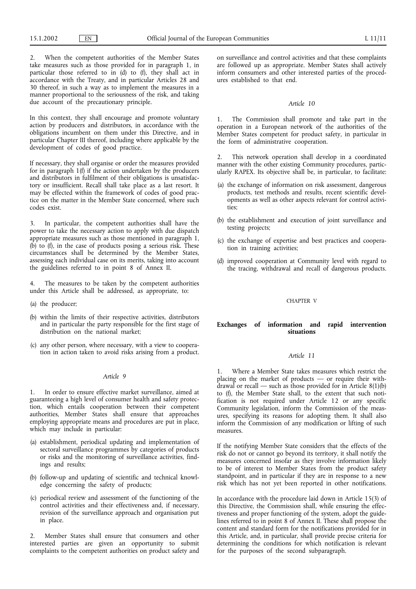2. When the competent authorities of the Member States take measures such as those provided for in paragraph 1, in particular those referred to in (d) to (f), they shall act in accordance with the Treaty, and in particular Articles 28 and 30 thereof, in such a way as to implement the measures in a manner proportional to the seriousness of the risk, and taking due account of the precautionary principle.

In this context, they shall encourage and promote voluntary action by producers and distributors, in accordance with the obligations incumbent on them under this Directive, and in particular Chapter III thereof, including where applicable by the development of codes of good practice.

If necessary, they shall organise or order the measures provided for in paragraph 1(f) if the action undertaken by the producers and distributors in fulfilment of their obligations is unsatisfactory or insufficient. Recall shall take place as a last resort. It may be effected within the framework of codes of good practice on the matter in the Member State concerned, where such codes exist.

3. In particular, the competent authorities shall have the power to take the necessary action to apply with due dispatch appropriate measures such as those mentioned in paragraph 1,  $(b)$  to  $(f)$ , in the case of products posing a serious risk. These circumstances shall be determined by the Member States, assessing each individual case on its merits, taking into account the guidelines referred to in point 8 of Annex II.

4. The measures to be taken by the competent authorities under this Article shall be addressed, as appropriate, to:

- (a) the producer;
- (b) within the limits of their respective activities, distributors and in particular the party responsible for the first stage of distribution on the national market;
- (c) any other person, where necessary, with a view to cooperation in action taken to avoid risks arising from a product.

## *Article 9*

1. In order to ensure effective market surveillance, aimed at guaranteeing a high level of consumer health and safety protection, which entails cooperation between their competent authorities, Member States shall ensure that approaches employing appropriate means and procedures are put in place, which may include in particular:

- (a) establishment, periodical updating and implementation of sectoral surveillance programmes by categories of products or risks and the monitoring of surveillance activities, findings and results;
- (b) follow-up and updating of scientific and technical knowledge concerning the safety of products;
- (c) periodical review and assessment of the functioning of the control activities and their effectiveness and, if necessary, revision of the surveillance approach and organisation put in place.

2. Member States shall ensure that consumers and other interested parties are given an opportunity to submit complaints to the competent authorities on product safety and on surveillance and control activities and that these complaints are followed up as appropriate. Member States shall actively inform consumers and other interested parties of the procedures established to that end.

#### *Article 10*

The Commission shall promote and take part in the operation in a European network of the authorities of the Member States competent for product safety, in particular in the form of administrative cooperation.

2. This network operation shall develop in a coordinated manner with the other existing Community procedures, particularly RAPEX. Its objective shall be, in particular, to facilitate:

- (a) the exchange of information on risk assessment, dangerous products, test methods and results, recent scientific developments as well as other aspects relevant for control activities;
- (b) the establishment and execution of joint surveillance and testing projects;
- (c) the exchange of expertise and best practices and cooperation in training activities;
- (d) improved cooperation at Community level with regard to the tracing, withdrawal and recall of dangerous products.

#### CHAPTER V

## **Exchanges of information and rapid intervention situations**

## *Article 11*

1. Where a Member State takes measures which restrict the placing on the market of products — or require their withdrawal or recall — such as those provided for in Article  $8(1)(b)$ to (f), the Member State shall, to the extent that such notification is not required under Article 12 or any specific Community legislation, inform the Commission of the measures, specifying its reasons for adopting them. It shall also inform the Commission of any modification or lifting of such measures.

If the notifying Member State considers that the effects of the risk do not or cannot go beyond its territory, it shall notify the measures concerned insofar as they involve information likely to be of interest to Member States from the product safety standpoint, and in particular if they are in response to a new risk which has not yet been reported in other notifications.

In accordance with the procedure laid down in Article 15(3) of this Directive, the Commission shall, while ensuring the effectiveness and proper functioning of the system, adopt the guidelines referred to in point 8 of Annex II. These shall propose the content and standard form for the notifications provided for in this Article, and, in particular, shall provide precise criteria for determining the conditions for which notification is relevant for the purposes of the second subparagraph.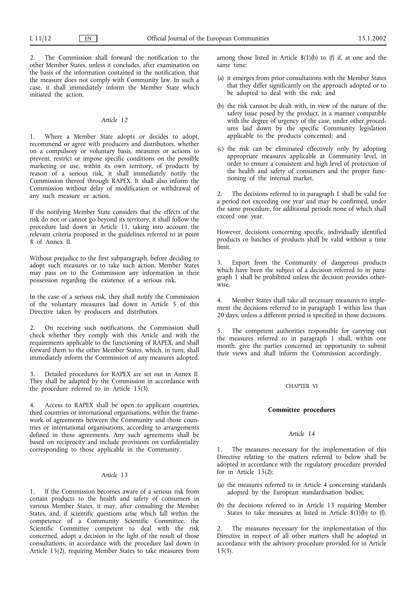2. The Commission shall forward the notification to the other Member States, unless it concludes, after examination on the basis of the information contained in the notification, that the measure does not comply with Community law. In such a case, it shall immediately inform the Member State which initiated the action.

## *Article 12*

1. Where a Member State adopts or decides to adopt, recommend or agree with producers and distributors, whether on a compulsory or voluntary basis, measures or actions to prevent, restrict or impose specific conditions on the possible marketing or use, within its own territory, of products by reason of a serious risk, it shall immediately notify the Commission thereof through RAPEX. It shall also inform the Commission without delay of modification or withdrawal of any such measure or action.

If the notifying Member State considers that the effects of the risk do not or cannot go beyond its territory, it shall follow the procedure laid down in Article 11, taking into account the relevant criteria proposed in the guidelines referred to in point 8 of Annex II.

Without prejudice to the first subparagraph, before deciding to adopt such measures or to take such action, Member States may pass on to the Commission any information in their possession regarding the existence of a serious risk.

In the case of a serious risk, they shall notify the Commission of the voluntary measures laid down in Article 5 of this Directive taken by producers and distributors.

2. On receiving such notifications, the Commission shall check whether they comply with this Article and with the requirements applicable to the functioning of RAPEX, and shall forward them to the other Member States, which, in turn, shall immediately inform the Commission of any measures adopted.

3. Detailed procedures for RAPEX are set out in Annex II. They shall be adapted by the Commission in accordance with the procedure referred to in Article 15(3).

4. Access to RAPEX shall be open to applicant countries, third countries or international organisations, within the framework of agreements between the Community and those countries or international organisations, according to arrangements defined in these agreements. Any such agreements shall be based on reciprocity and include provisions on confidentiality corresponding to those applicable in the Community.

## *Article 13*

1. If the Commission becomes aware of a serious risk from certain products to the health and safety of consumers in various Member States, it may, after consulting the Member States, and, if scientific questions arise which fall within the competence of a Community Scientific Committee, the Scientific Committee competent to deal with the risk concerned, adopt a decision in the light of the result of those consultations, in accordance with the procedure laid down in Article 15(2), requiring Member States to take measures from among those listed in Article 8(1)(b) to (f) if, at one and the same time:

- (a) it emerges from prior consultations with the Member States that they differ significantly on the approach adopted or to be adopted to deal with the risk; and
- (b) the risk cannot be dealt with, in view of the nature of the safety issue posed by the product, in a manner compatible with the degree of urgency of the case, under other procedures laid down by the specific Community legislation applicable to the products concerned; and
- (c) the risk can be eliminated effectively only by adopting appropriate measures applicable at Community level, in order to ensure a consistent and high level of protection of the health and safety of consumers and the proper functioning of the internal market.

2. The decisions referred to in paragraph 1 shall be valid for a period not exceeding one year and may be confirmed, under the same procedure, for additional periods none of which shall exceed one year.

However, decisions concerning specific, individually identified products or batches of products shall be valid without a time limit.

3. Export from the Community of dangerous products which have been the subject of a decision referred to in paragraph 1 shall be prohibited unless the decision provides otherwise.

4. Member States shall take all necessary measures to implement the decisions referred to in paragraph 1 within less than 20 days, unless a different period is specified in those decisions.

5. The competent authorities responsible for carrying out the measures referred to in paragraph 1 shall, within one month, give the parties concerned an opportunity to submit their views and shall inform the Commission accordingly.

#### CHAPTER VI

## **Committee procedures**

#### *Article 14*

The measures necessary for the implementation of this Directive relating to the matters referred to below shall be adopted in accordance with the regulatory procedure provided for in Article 15(2):

- (a) the measures referred to in Article 4 concerning standards adopted by the European standardisation bodies;
- (b) the decisions referred to in Article 13 requiring Member States to take measures as listed in Article  $8(1)(b)$  to (f).

2. The measures necessary for the implementation of this Directive in respect of all other matters shall be adopted in accordance with the advisory procedure provided for in Article 15(3).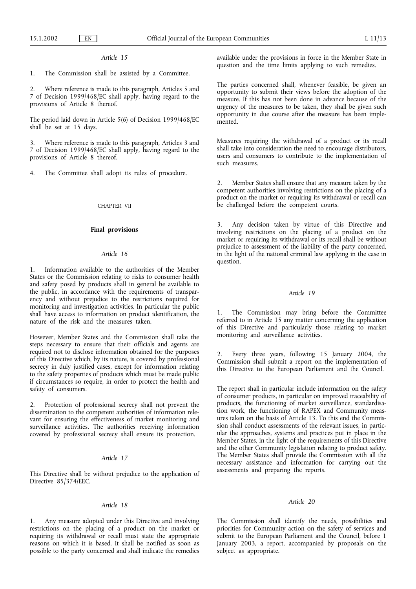## *Article 15*

1. The Commission shall be assisted by a Committee.

2. Where reference is made to this paragraph, Articles 5 and 7 of Decision 1999/468/EC shall apply, having regard to the provisions of Article 8 thereof.

The period laid down in Article 5(6) of Decision 1999/468/EC shall be set at 15 days.

3. Where reference is made to this paragraph, Articles 3 and 7 of Decision 1999/468/EC shall apply, having regard to the provisions of Article 8 thereof.

4. The Committee shall adopt its rules of procedure.

## **CHAPTER VII**

#### **Final provisions**

## *Article 16*

1. Information available to the authorities of the Member States or the Commission relating to risks to consumer health and safety posed by products shall in general be available to the public, in accordance with the requirements of transparency and without prejudice to the restrictions required for monitoring and investigation activities. In particular the public shall have access to information on product identification, the nature of the risk and the measures taken.

However, Member States and the Commission shall take the steps necessary to ensure that their officials and agents are required not to disclose information obtained for the purposes of this Directive which, by its nature, is covered by professional secrecy in duly justified cases, except for information relating to the safety properties of products which must be made public if circumstances so require, in order to protect the health and safety of consumers.

2. Protection of professional secrecy shall not prevent the dissemination to the competent authorities of information relevant for ensuring the effectiveness of market monitoring and surveillance activities. The authorities receiving information covered by professional secrecy shall ensure its protection.

## *Article 17*

This Directive shall be without prejudice to the application of Directive 85/374/EEC.

## *Article 18*

1. Any measure adopted under this Directive and involving restrictions on the placing of a product on the market or requiring its withdrawal or recall must state the appropriate reasons on which it is based. It shall be notified as soon as possible to the party concerned and shall indicate the remedies

available under the provisions in force in the Member State in question and the time limits applying to such remedies.

The parties concerned shall, whenever feasible, be given an opportunity to submit their views before the adoption of the measure. If this has not been done in advance because of the urgency of the measures to be taken, they shall be given such opportunity in due course after the measure has been implemented.

Measures requiring the withdrawal of a product or its recall shall take into consideration the need to encourage distributors, users and consumers to contribute to the implementation of such measures.

2. Member States shall ensure that any measure taken by the competent authorities involving restrictions on the placing of a product on the market or requiring its withdrawal or recall can be challenged before the competent courts.

3. Any decision taken by virtue of this Directive and involving restrictions on the placing of a product on the market or requiring its withdrawal or its recall shall be without prejudice to assessment of the liability of the party concerned, in the light of the national criminal law applying in the case in question.

#### *Article 19*

1. The Commission may bring before the Committee referred to in Article 15 any matter concerning the application of this Directive and particularly those relating to market monitoring and surveillance activities.

2. Every three years, following 15 January 2004, the Commission shall submit a report on the implementation of this Directive to the European Parliament and the Council.

The report shall in particular include information on the safety of consumer products, in particular on improved traceability of products, the functioning of market surveillance, standardisation work, the functioning of RAPEX and Community measures taken on the basis of Article 13. To this end the Commission shall conduct assessments of the relevant issues, in particular the approaches, systems and practices put in place in the Member States, in the light of the requirements of this Directive and the other Community legislation relating to product safety. The Member States shall provide the Commission with all the necessary assistance and information for carrying out the assessments and preparing the reports.

## *Article 20*

The Commission shall identify the needs, possibilities and priorities for Community action on the safety of services and submit to the European Parliament and the Council, before 1 January 2003, a report, accompanied by proposals on the subject as appropriate.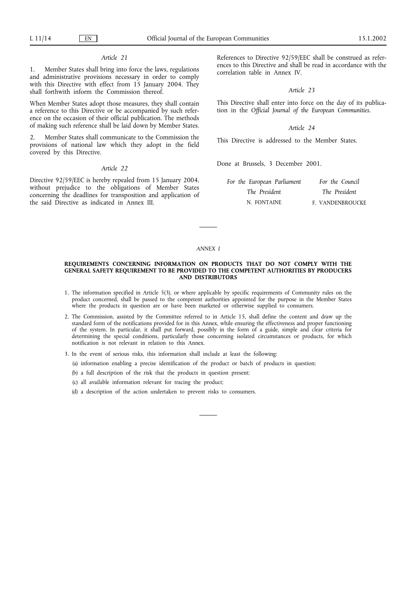## *Article 21*

1. Member States shall bring into force the laws, regulations and administrative provisions necessary in order to comply with this Directive with effect from 15 January 2004. They shall forthwith inform the Commission thereof.

When Member States adopt those measures, they shall contain a reference to this Directive or be accompanied by such reference on the occasion of their official publication. The methods of making such reference shall be laid down by Member States.

2. Member States shall communicate to the Commission the provisions of national law which they adopt in the field covered by this Directive.

#### *Article 22*

Directive 92/59/EEC is hereby repealed from 15 January 2004, without prejudice to the obligations of Member States concerning the deadlines for transposition and application of the said Directive as indicated in Annex III.

References to Directive 92/59/EEC shall be construed as references to this Directive and shall be read in accordance with the correlation table in Annex IV.

#### *Article 23*

This Directive shall enter into force on the day of its publication in the *Official Journal of the European Communities*.

## *Article 24*

This Directive is addressed to the Member States.

Done at Brussels, 3 December 2001.

| For the European Parliament | For the Council         |
|-----------------------------|-------------------------|
| The President               | The President           |
| N. FONTAINE                 | <b>F. VANDENBROUCKE</b> |

## *ANNEX I*

#### **REQUIREMENTS CONCERNING INFORMATION ON PRODUCTS THAT DO NOT COMPLY WITH THE GENERAL SAFETY REQUIREMENT TO BE PROVIDED TO THE COMPETENT AUTHORITIES BY PRODUCERS AND DISTRIBUTORS**

- 1. The information specified in Article 5(3), or where applicable by specific requirements of Community rules on the product concerned, shall be passed to the competent authorities appointed for the purpose in the Member States where the products in question are or have been marketed or otherwise supplied to consumers.
- 2. The Commission, assisted by the Committee referred to in Article 15, shall define the content and draw up the standard form of the notifications provided for in this Annex, while ensuring the effectiveness and proper functioning of the system. In particular, it shall put forward, possibly in the form of a guide, simple and clear criteria for determining the special conditions, particularly those concerning isolated circumstances or products, for which notification is not relevant in relation to this Annex.
- 3. In the event of serious risks, this information shall include at least the following:
	- (a) information enabling a precise identification of the product or batch of products in question;
	- (b) a full description of the risk that the products in question present;
	- (c) all available information relevant for tracing the product;
	- (d) a description of the action undertaken to prevent risks to consumers.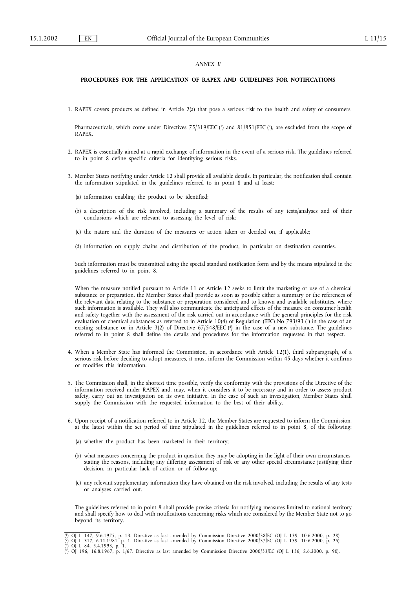## *ANNEX II*

## **PROCEDURES FOR THE APPLICATION OF RAPEX AND GUIDELINES FOR NOTIFICATIONS**

1. RAPEX covers products as defined in Article 2(a) that pose a serious risk to the health and safety of consumers.

Pharmaceuticals, which come under Directives 75/319/EEC (1) and 81/851/EEC (2), are excluded from the scope of RAPEX.

- 2. RAPEX is essentially aimed at a rapid exchange of information in the event of a serious risk. The guidelines referred to in point 8 define specific criteria for identifying serious risks.
- 3. Member States notifying under Article 12 shall provide all available details. In particular, the notification shall contain the information stipulated in the guidelines referred to in point 8 and at least:
	- (a) information enabling the product to be identified;
	- (b) a description of the risk involved, including a summary of the results of any tests/analyses and of their conclusions which are relevant to assessing the level of risk;
	- (c) the nature and the duration of the measures or action taken or decided on, if applicable;
	- (d) information on supply chains and distribution of the product, in particular on destination countries.

Such information must be transmitted using the special standard notification form and by the means stipulated in the guidelines referred to in point 8.

When the measure notified pursuant to Article 11 or Article 12 seeks to limit the marketing or use of a chemical substance or preparation, the Member States shall provide as soon as possible either a summary or the references of the relevant data relating to the substance or preparation considered and to known and available substitutes, where such information is available. They will also communicate the anticipated effects of the measure on consumer health and safety together with the assessment of the risk carried out in accordance with the general principles for the risk evaluation of chemical substances as referred to in Article 10(4) of Regulation (EEC) No 793/93 (3) in the case of an existing substance or in Article 3(2) of Directive 67/548/EEC (4) in the case of a new substance. The guidelines referred to in point 8 shall define the details and procedures for the information requested in that respect.

- 4. When a Member State has informed the Commission, in accordance with Article 12(1), third subparagraph, of a serious risk before deciding to adopt measures, it must inform the Commission within 45 days whether it confirms or modifies this information.
- 5. The Commission shall, in the shortest time possible, verify the conformity with the provisions of the Directive of the information received under RAPEX and, may, when it considers it to be necessary and in order to assess product safety, carry out an investigation on its own initiative. In the case of such an investigation, Member States shall supply the Commission with the requested information to the best of their ability.
- 6. Upon receipt of a notification referred to in Article 12, the Member States are requested to inform the Commission, at the latest within the set period of time stipulated in the guidelines referred to in point 8, of the following:
	- (a) whether the product has been marketed in their territory;
	- (b) what measures concerning the product in question they may be adopting in the light of their own circumstances, stating the reasons, including any differing assessment of risk or any other special circumstance justifying their decision, in particular lack of action or of follow-up;
	- (c) any relevant supplementary information they have obtained on the risk involved, including the results of any tests or analyses carried out.

The guidelines referred to in point 8 shall provide precise criteria for notifying measures limited to national territory and shall specify how to deal with notifications concerning risks which are considered by the Member State not to go beyond its territory.

<sup>(\*)</sup> OJ L 147, 9.6.1975, p. 13. Directive as last amended by Commission Directive 2000/38/EC (OJ L 139, 10.6.2000, p. 28).<br>(\*) OJ L 817, 6.11.1981, p. 1. Directive as last amended by Commission Directive 2000/37/EC (OJ L 13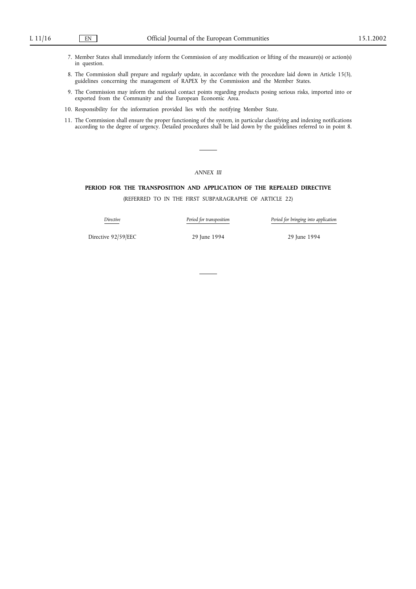- 7. Member States shall immediately inform the Commission of any modification or lifting of the measure(s) or action(s) in question.
- 8. The Commission shall prepare and regularly update, in accordance with the procedure laid down in Article 15(3), guidelines concerning the management of RAPEX by the Commission and the Member States.
- 9. The Commission may inform the national contact points regarding products posing serious risks, imported into or exported from the Community and the European Economic Area.
- 10. Responsibility for the information provided lies with the notifying Member State.
- 11. The Commission shall ensure the proper functioning of the system, in particular classifying and indexing notifications according to the degree of urgency. Detailed procedures shall be laid down by the guidelines referred to in point 8.

*ANNEX III*

# **PERIOD FOR THE TRANSPOSITION AND APPLICATION OF THE REPEALED DIRECTIVE** (REFERRED TO IN THE FIRST SUBPARAGRAPHE OF ARTICLE 22)

*Directive Period for transposition Period for bringing into application*

Directive 92/59/EEC 29 June 1994 29 June 1994